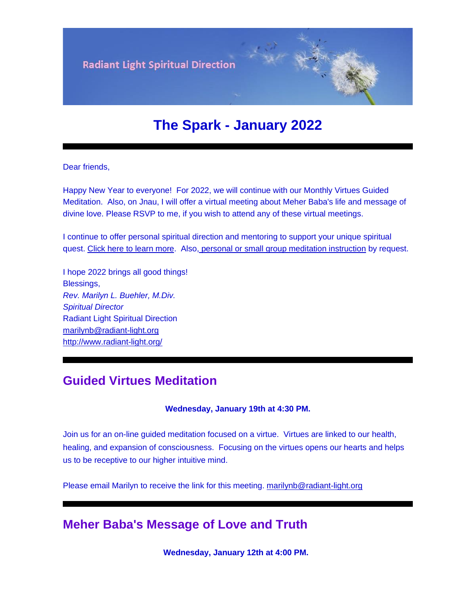

# **The Spark - January 2022**

Dear friends,

Happy New Year to everyone! For 2022, we will continue with our Monthly Virtues Guided Meditation. Also, on Jnau, I will offer a virtual meeting about Meher Baba's life and message of divine love. Please RSVP to me, if you wish to attend any of these virtual meetings.

I continue to offer personal spiritual direction and mentoring to support your unique spiritual quest. [Click here to learn more.](http://radiant-light.org/spiritual-direction/) Also, [personal or small group meditation instruction](http://radiant-light.org/calendar/meditation-turning-within/) by request.

I hope 2022 brings all good things! Blessings, *Rev. Marilyn L. Buehler, M.Div. Spiritual Director* Radiant Light Spiritual Direction [marilynb@radiant-light.org](mailto:marilynb@radiant-light.org) [http://www.radiant-light.org/](https://cts.vresp.com/c/?RadiantLightSpiritua/ff2a767bf6/1b06b99551/9263d884dd)

### **Guided Virtues Meditation**

#### **Wednesday, January 19th at 4:30 PM.**

Join us for an on-line guided meditation focused on a virtue. Virtues are linked to our health, healing, and expansion of consciousness. Focusing on the virtues opens our hearts and helps us to be receptive to our higher intuitive mind.

Please email Marilyn to receive the link for this meeting. [marilynb@radiant-light.org](https://mc.sendgrid.com/design-library/your-designs/5d9cbeb3-1bf5-41e0-8be2-e95e59182406/preview)

### **Meher Baba's Message of Love and Truth**

**Wednesday, January 12th at 4:00 PM.**